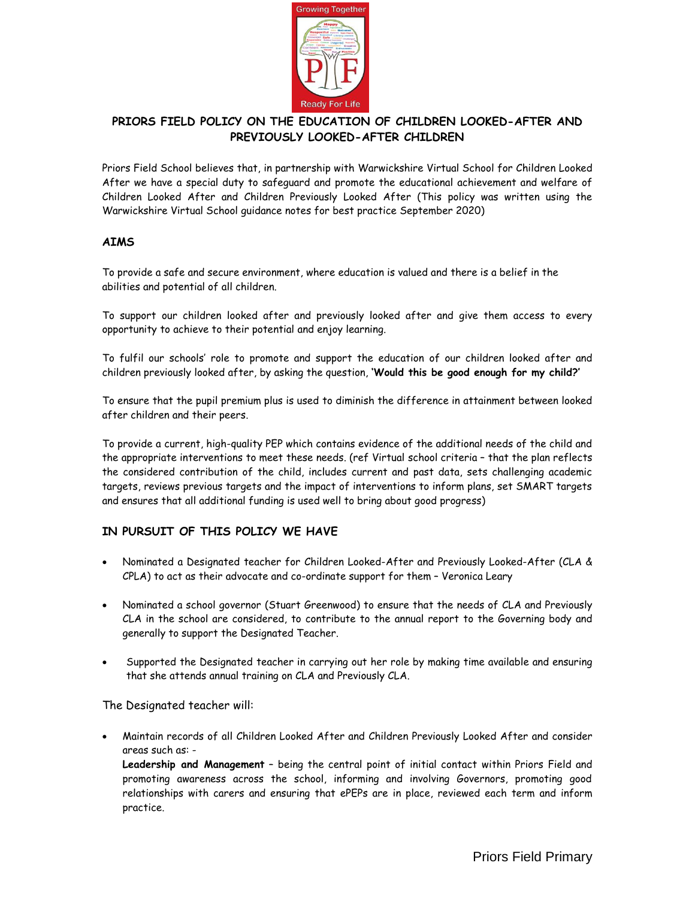

## **PRIORS FIELD POLICY ON THE EDUCATION OF CHILDREN LOOKED-AFTER AND PREVIOUSLY LOOKED-AFTER CHILDREN**

Priors Field School believes that, in partnership with Warwickshire Virtual School for Children Looked After we have a special duty to safeguard and promote the educational achievement and welfare of Children Looked After and Children Previously Looked After (This policy was written using the Warwickshire Virtual School guidance notes for best practice September 2020)

## **AIMS**

To provide a safe and secure environment, where education is valued and there is a belief in the abilities and potential of all children.

To support our children looked after and previously looked after and give them access to every opportunity to achieve to their potential and enjoy learning.

To fulfil our schools' role to promote and support the education of our children looked after and children previously looked after, by asking the question, **'Would this be good enough for my child?'**

To ensure that the pupil premium plus is used to diminish the difference in attainment between looked after children and their peers.

To provide a current, high-quality PEP which contains evidence of the additional needs of the child and the appropriate interventions to meet these needs. (ref Virtual school criteria – that the plan reflects the considered contribution of the child, includes current and past data, sets challenging academic targets, reviews previous targets and the impact of interventions to inform plans, set SMART targets and ensures that all additional funding is used well to bring about good progress)

## **IN PURSUIT OF THIS POLICY WE HAVE**

- Nominated a Designated teacher for Children Looked-After and Previously Looked-After (CLA & CPLA) to act as their advocate and co-ordinate support for them – Veronica Leary
- Nominated a school governor (Stuart Greenwood) to ensure that the needs of CLA and Previously CLA in the school are considered, to contribute to the annual report to the Governing body and generally to support the Designated Teacher.
- Supported the Designated teacher in carrying out her role by making time available and ensuring that she attends annual training on CLA and Previously CLA.

The Designated teacher will:

 Maintain records of all Children Looked After and Children Previously Looked After and consider areas such as: -

**Leadership and Management** – being the central point of initial contact within Priors Field and promoting awareness across the school, informing and involving Governors, promoting good relationships with carers and ensuring that ePEPs are in place, reviewed each term and inform practice.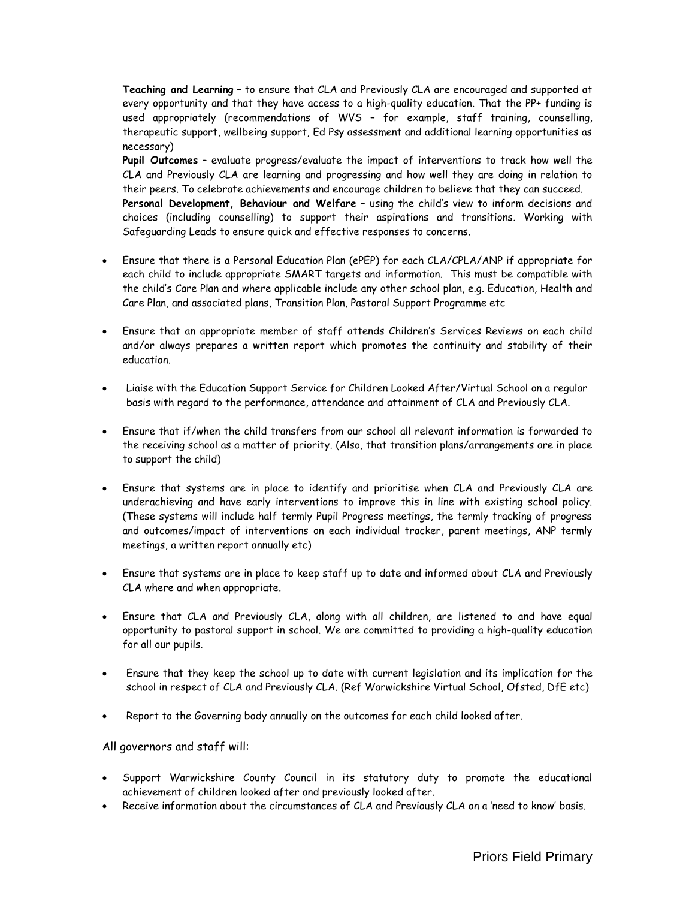**Teaching and Learning** – to ensure that CLA and Previously CLA are encouraged and supported at every opportunity and that they have access to a high-quality education. That the PP+ funding is used appropriately (recommendations of WVS – for example, staff training, counselling, therapeutic support, wellbeing support, Ed Psy assessment and additional learning opportunities as necessary)

**Pupil Outcomes** – evaluate progress/evaluate the impact of interventions to track how well the CLA and Previously CLA are learning and progressing and how well they are doing in relation to their peers. To celebrate achievements and encourage children to believe that they can succeed.

**Personal Development, Behaviour and Welfare** – using the child's view to inform decisions and choices (including counselling) to support their aspirations and transitions. Working with Safeguarding Leads to ensure quick and effective responses to concerns.

- Ensure that there is a Personal Education Plan (ePEP) for each CLA/CPLA/ANP if appropriate for each child to include appropriate SMART targets and information. This must be compatible with the child's Care Plan and where applicable include any other school plan, e.g. Education, Health and Care Plan, and associated plans, Transition Plan, Pastoral Support Programme etc
- Ensure that an appropriate member of staff attends Children's Services Reviews on each child and/or always prepares a written report which promotes the continuity and stability of their education.
- Liaise with the Education Support Service for Children Looked After/Virtual School on a regular basis with regard to the performance, attendance and attainment of CLA and Previously CLA.
- Ensure that if/when the child transfers from our school all relevant information is forwarded to the receiving school as a matter of priority. (Also, that transition plans/arrangements are in place to support the child)
- Ensure that systems are in place to identify and prioritise when CLA and Previously CLA are underachieving and have early interventions to improve this in line with existing school policy. (These systems will include half termly Pupil Progress meetings, the termly tracking of progress and outcomes/impact of interventions on each individual tracker, parent meetings, ANP termly meetings, a written report annually etc)
- Ensure that systems are in place to keep staff up to date and informed about CLA and Previously CLA where and when appropriate.
- Ensure that CLA and Previously CLA, along with all children, are listened to and have equal opportunity to pastoral support in school. We are committed to providing a high-quality education for all our pupils.
- Ensure that they keep the school up to date with current legislation and its implication for the school in respect of CLA and Previously CLA. (Ref Warwickshire Virtual School, Ofsted, DfE etc)
- Report to the Governing body annually on the outcomes for each child looked after.

All governors and staff will:

- Support Warwickshire County Council in its statutory duty to promote the educational achievement of children looked after and previously looked after.
- Receive information about the circumstances of CLA and Previously CLA on a 'need to know' basis.